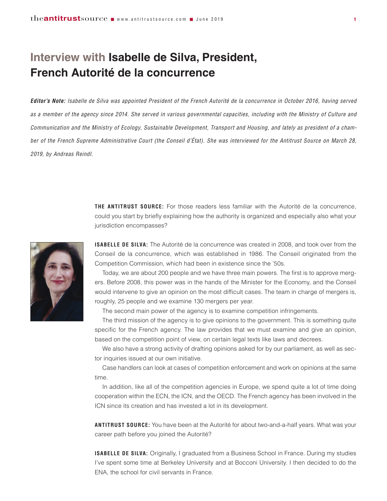## **Interview with Isabelle de Silva, President, French Autorité de la concurrence**

*Editor's Note: Isabelle de Silva was appointed President of the French Autorité de la concurrence in October 2016, having served as a member of the agency since 2014. She served in various governmental capacities, including with the Ministry of Culture and Communication and the Ministry of Ecology, Sustainable Development, Transport and Housing, and lately as president of a chamber of the French Supreme Administrative Court (the Conseil d'État). She was interviewed for the Antitrust Source on March 28, 2019, by Andreas Reindl.* 

> **THE ANTITRUST SOURCE:** For those readers less familiar with the Autorité de la concurrence, could you start by briefly explaining how the authority is organized and especially also what your jurisdiction encompasses?

> **ISABELLE DE SILVA:** The Autorité de la concurrence was created in 2008, and took over from the Conseil de la concurrence, which was established in 1986. The Conseil originated from the Competition Commission, which had been in existence since the '50s.

> Today, we are about 200 people and we have three main powers. The first is to approve mergers. Before 2008, this power was in the hands of the Minister for the Economy, and the Conseil would intervene to give an opinion on the most difficult cases. The team in charge of mergers is, roughly, 25 people and we examine 130 mergers per year.

The second main power of the agency is to examine competition infringements.

The third mission of the agency is to give opinions to the government. This is something quite specific for the French agency. The law provides that we must examine and give an opinion, based on the competition point of view, on certain legal texts like laws and decrees.

We also have a strong activity of drafting opinions asked for by our parliament, as well as sector inquiries issued at our own initiative.

Case handlers can look at cases of competition enforcement and work on opinions at the same time.

In addition, like all of the competition agencies in Europe, we spend quite a lot of time doing cooperation within the ECN, the ICN, and the OECD. The French agency has been involved in the ICN since its creation and has invested a lot in its development.

**ANTITRUST SOURCE:** You have been at the Autorité for about two-and-a-half years. What was your career path before you joined the Autorité?

**ISABELLE DE SILVA:** Originally, I graduated from a Business School in France. During my studies I've spent some time at Berkeley University and at Bocconi University. I then decided to do the ENA, the school for civil servants in France.

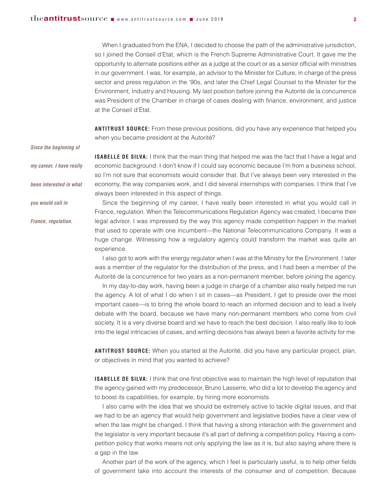When I graduated from the ENA, I decided to choose the path of the administrative jurisdiction, so I joined the Conseil d'Etat, which is the French Supreme Administrative Court. It gave me the opportunity to alternate positions either as a judge at the court or as a senior official with ministries in our government. I was, for example, an advisor to the Minister for Culture, in charge of the press sector and press regulation in the '90s, and later the Chief Legal Counsel to the Minister for the Environment, Industry and Housing. My last position before joining the Autorité de la concurrence was President of the Chamber in charge of cases dealing with finance, environment, and justice at the Conseil d'État.

**ANTITRUST SOURCE:** From these previous positions, did you have any experience that helped you when you became president at the Autorité?

**ISABELLE DE SILVA:** I think that the main thing that helped me was the fact that I have a legal and economic background. I don't know if I could say economic because I'm from a business school, so I'm not sure that economists would consider that. But I've always been very interested in the economy, the way companies work, and I did several internships with companies. I think that I've always been interested in this aspect of things.

*you would call in*

*Since the beginning of*

*my career, I have really*

*been interested in what*

*France, regulation.* 

Since the beginning of my career, I have really been interested in what you would call in France, regulation. When the Telecommunications Regulation Agency was created, I became their legal advisor. I was impressed by the way this agency made competition happen in the market that used to operate with one incumbent—the National Telecommunications Company. It was a huge change. Witnessing how a regulatory agency could transform the market was quite an experience.

I also got to work with the energy regulator when I was at the Ministry for the Environment. I later was a member of the regulator for the distribution of the press, and I had been a member of the Autorité de la concurrence for two years as a non-permanent member, before joining the agency.

In my day-to-day work, having been a judge in charge of a chamber also really helped me run the agency. A lot of what I do when I sit in cases—as President, I get to preside over the most important cases—is to bring the whole board to reach an informed decision and to lead a lively debate with the board, because we have many non-permanent members who come from civil society. It is a very diverse board and we have to reach the best decision. I also really like to look into the legal intricacies of cases, and writing decisions has always been a favorite activity for me.

**ANTITRUST SOURCE:** When you started at the Autorité, did you have any particular project, plan, or objectives in mind that you wanted to achieve?

**ISABELLE DE SILVA:** I think that one first objective was to maintain the high level of reputation that the agency gained with my predecessor, Bruno Lasserre, who did a lot to develop the agency and to boost its capabilities, for example, by hiring more economists.

I also came with the idea that we should be extremely active to tackle digital issues, and that we had to be an agency that would help government and legislative bodies have a clear view of when the law might be changed. I think that having a strong interaction with the government and the legislator is very important because it's all part of defining a competition policy. Having a competition policy that works means not only applying the law as it is, but also saying where there is a gap in the law.

Another part of the work of the agency, which I feel is particularly useful, is to help other fields of government take into account the interests of the consumer and of competition. Because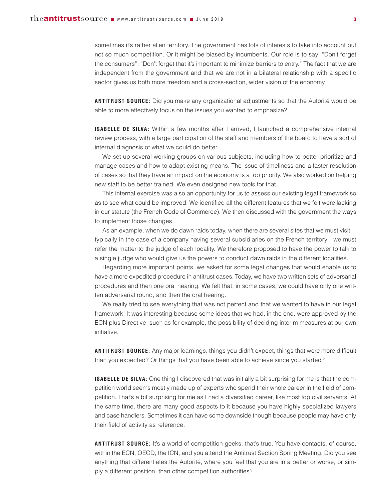sometimes it's rather alien territory. The government has lots of interests to take into account but not so much competition. Or it might be biased by incumbents. Our role is to say: "Don't forget the consumers"; "Don't forget that it's important to minimize barriers to entry." The fact that we are independent from the government and that we are not in a bilateral relationship with a specific sector gives us both more freedom and a cross-section, wider vision of the economy.

**ANTITRUST SOURCE:** Did you make any organizational adjustments so that the Autorité would be able to more effectively focus on the issues you wanted to emphasize?

**ISABELLE DE SILVA:** Within a few months after I arrived, I launched a comprehensive internal review process, with a large participation of the staff and members of the board to have a sort of internal diagnosis of what we could do better.

We set up several working groups on various subjects, including how to better prioritize and manage cases and how to adapt existing means. The issue of timeliness and a faster resolution of cases so that they have an impact on the economy is a top priority. We also worked on helping new staff to be better trained. We even designed new tools for that.

This internal exercise was also an opportunity for us to assess our existing legal framework so as to see what could be improved. We identified all the different features that we felt were lacking in our statute (the French Code of Commerce). We then discussed with the government the ways to implement those changes.

As an example, when we do dawn raids today, when there are several sites that we must visit typically in the case of a company having several subsidiaries on the French territory—we must refer the matter to the judge of each locality. We therefore proposed to have the power to talk to a single judge who would give us the powers to conduct dawn raids in the different localities.

Regarding more important points, we asked for some legal changes that would enable us to have a more expedited procedure in antitrust cases. Today, we have two written sets of adversarial procedures and then one oral hearing. We felt that, in some cases, we could have only one written adversarial round, and then the oral hearing.

We really tried to see everything that was not perfect and that we wanted to have in our legal framework. It was interesting because some ideas that we had, in the end, were approved by the ECN plus Directive, such as for example, the possibility of deciding interim measures at our own initiative.

**ANTITRUST SOURCE:** Any major learnings, things you didn't expect, things that were more difficult than you expected? Or things that you have been able to achieve since you started?

**ISABELLE DE SILVA:** One thing I discovered that was initially a bit surprising for me is that the competition world seems mostly made up of experts who spend their whole career in the field of competition. That's a bit surprising for me as I had a diversified career, like most top civil servants. At the same time, there are many good aspects to it because you have highly specialized lawyers and case handlers. Sometimes it can have some downside though because people may have only their field of activity as reference.

**ANTITRUST SOURCE:** It's a world of competition geeks, that's true. You have contacts, of course, within the ECN, OECD, the ICN, and you attend the Antitrust Section Spring Meeting. Did you see anything that differentiates the Autorité, where you feel that you are in a better or worse, or simply a different position, than other competition authorities?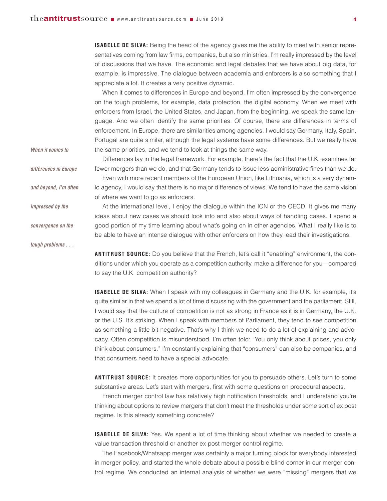**ISABELLE DE SILVA:** Being the head of the agency gives me the ability to meet with senior representatives coming from law firms, companies, but also ministries. I'm really impressed by the level of discussions that we have. The economic and legal debates that we have about big data, for example, is impressive. The dialogue between academia and enforcers is also something that I appreciate a lot. It creates a very positive dynamic.

When it comes to differences in Europe and beyond, I'm often impressed by the convergence on the tough problems, for example, data protection, the digital economy. When we meet with enforcers from Israel, the United States, and Japan, from the beginning, we speak the same language. And we often identify the same priorities. Of course, there are differences in terms of enforcement. In Europe, there are similarities among agencies. I would say Germany, Italy, Spain, Portugal are quite similar, although the legal systems have some differences. But we really have the same priorities, and we tend to look at things the same way.

Differences lay in the legal framework. For example, there's the fact that the U.K. examines far fewer mergers than we do, and that Germany tends to issue less administrative fines than we do. Even with more recent members of the European Union, like Lithuania, which is a very dynamic agency, I would say that there is no major difference of views. We tend to have the same vision of where we want to go as enforcers.

At the international level, I enjoy the dialogue within the ICN or the OECD. It gives me many ideas about new cases we should look into and also about ways of handling cases. I spend a good portion of my time learning about what's going on in other agencies. What I really like is to be able to have an intense dialogue with other enforcers on how they lead their investigations.

*tough problems . . .* 

*convergence on the*

*When it comes to* 

*differences in Europe*

*and beyond, I'm often*

*impressed by the* 

**ANTITRUST SOURCE:** Do you believe that the French, let's call it "enabling" environment, the conditions under which you operate as a competition authority, make a difference for you—compared to say the U.K. competition authority?

**ISABELLE DE SILVA:** When I speak with my colleagues in Germany and the U.K. for example, it's quite similar in that we spend a lot of time discussing with the government and the parliament. Still, I would say that the culture of competition is not as strong in France as it is in Germany, the U.K. or the U.S. It's striking. When I speak with members of Parliament, they tend to see competition as something a little bit negative. That's why I think we need to do a lot of explaining and advocacy. Often competition is misunderstood. I'm often told: "You only think about prices, you only think about consumers." I'm constantly explaining that "consumers" can also be companies, and that consumers need to have a special advocate.

**ANTITRUST SOURCE:** It creates more opportunities for you to persuade others. Let's turn to some substantive areas. Let's start with mergers, first with some questions on procedural aspects.

French merger control law has relatively high notification thresholds, and I understand you're thinking about options to review mergers that don't meet the thresholds under some sort of ex post regime. Is this already something concrete?

**ISABELLE DE SILVA:** Yes. We spent a lot of time thinking about whether we needed to create a value transaction threshold or another ex post merger control regime.

The Facebook/Whatsapp merger was certainly a major turning block for everybody interested in merger policy, and started the whole debate about a possible blind corner in our merger control regime. We conducted an internal analysis of whether we were "missing" mergers that we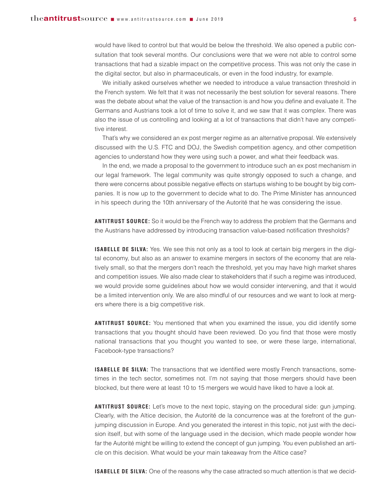would have liked to control but that would be below the threshold. We also opened a public consultation that took several months. Our conclusions were that we were not able to control some transactions that had a sizable impact on the competitive process. This was not only the case in the digital sector, but also in pharmaceuticals, or even in the food industry, for example.

We initially asked ourselves whether we needed to introduce a value transaction threshold in the French system. We felt that it was not necessarily the best solution for several reasons. There was the debate about what the value of the transaction is and how you define and evaluate it. The Germans and Austrians took a lot of time to solve it, and we saw that it was complex. There was also the issue of us controlling and looking at a lot of transactions that didn't have any competitive interest.

That's why we considered an ex post merger regime as an alternative proposal. We extensively discussed with the U.S. FTC and DOJ, the Swedish competition agency, and other competition agencies to understand how they were using such a power, and what their feedback was.

In the end, we made a proposal to the government to introduce such an ex post mechanism in our legal framework. The legal community was quite strongly opposed to such a change, and there were concerns about possible negative effects on startups wishing to be bought by big companies. It is now up to the government to decide what to do. The Prime Minister has announced in his speech during the 10th anniversary of the Autorité that he was considering the issue.

**ANTITRUST SOURCE:** So it would be the French way to address the problem that the Germans and the Austrians have addressed by introducing transaction value-based notification thresholds?

**ISABELLE DE SILVA:** Yes. We see this not only as a tool to look at certain big mergers in the digital economy, but also as an answer to examine mergers in sectors of the economy that are relatively small, so that the mergers don't reach the threshold, yet you may have high market shares and competition issues. We also made clear to stakeholders that if such a regime was introduced, we would provide some guidelines about how we would consider intervening, and that it would be a limited intervention only. We are also mindful of our resources and we want to look at mergers where there is a big competitive risk.

**ANTITRUST SOURCE:** You mentioned that when you examined the issue, you did identify some transactions that you thought should have been reviewed. Do you find that those were mostly national transactions that you thought you wanted to see, or were these large, international, Facebook-type transactions?

**ISABELLE DE SILVA:** The transactions that we identified were mostly French transactions, sometimes in the tech sector, sometimes not. I'm not saying that those mergers should have been blocked, but there were at least 10 to 15 mergers we would have liked to have a look at.

**ANTITRUST SOURCE:** Let's move to the next topic, staying on the procedural side: gun jumping. Clearly, with the Altice decision, the Autorité de la concurrence was at the forefront of the gunjumping discussion in Europe. And you generated the interest in this topic, not just with the decision itself, but with some of the language used in the decision, which made people wonder how far the Autorité might be willing to extend the concept of gun jumping. You even published an article on this decision. What would be your main takeaway from the Altice case?

**ISABELLE DE SILVA:** One of the reasons why the case attracted so much attention is that we decid-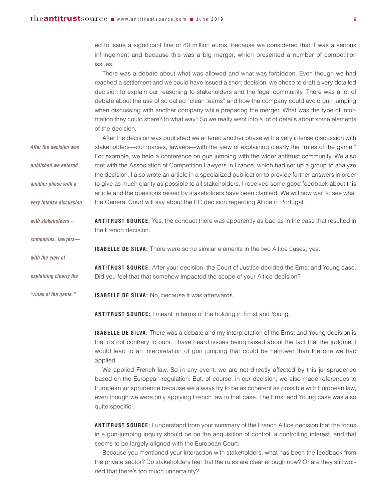ed to issue a significant fine of 80 million euros, because we considered that it was a serious infringement and because this was a big merger, which presented a number of competition issues.

There was a debate about what was allowed and what was forbidden. Even though we had reached a settlement and we could have issued a short decision, we chose to draft a very detailed decision to explain our reasoning to stakeholders and the legal community. There was a lot of debate about the use of so called "clean teams" and how the company could avoid gun jumping when discussing with another company while preparing the merger. What was the type of information they could share? In what way? So we really went into a lot of details about some elements of the decision.

After the decision was published we entered another phase with a very intense discussion with stakeholders—companies, lawyers—with the view of explaining clearly the "rules of the game." For example, we held a conference on gun jumping with the wider antitrust community. We also met with the Association of Competition Lawyers in France, which had set up a group to analyze the decision. I also wrote an article in a specialized publication to provide further answers in order to give as much clarity as possible to all stakeholders. I received some good feedback about this article and the questions raised by stakeholders have been clarified. We will now wait to see what the General Court will say about the EC decision regarding Altice in Portugal. *After the decision was published we entered another phase with a very intense discussion*

**ANTITRUST SOURCE:** Yes, the conduct there was apparently as bad as in the case that resulted in the French decision. *with stakeholders—*

**ISABELLE DE SILVA:** There were some similar elements in the two Altice cases, yes.

**ANTITRUST SOURCE:** After your decision, the Court of Justice decided the Ernst and Young case. Did you feel that that somehow impacted the scope of your Altice decision? *explaining clearly the*

**ISABELLE DE SILVA:** No, because it was afterwards . . . *"rules of the game."* 

*companies, lawyers—*

*with the view of*

**ANTITRUST SOURCE:** I meant in terms of the holding in Ernst and Young.

**ISABELLE DE SILVA:** There was a debate and my interpretation of the Ernst and Young decision is that it's not contrary to ours. I have heard issues being raised about the fact that the judgment would lead to an interpretation of gun jumping that could be narrower than the one we had applied.

We applied French law. So in any event, we are not directly affected by this jurisprudence based on the European regulation. But, of course, in our decision, we also made references to European jurisprudence because we always try to be as coherent as possible with European law, even though we were only applying French law in that case. The Ernst and Young case was also quite specific.

**ANTITRUST SOURCE:** I understand from your summary of the French Altice decision that the focus in a gun-jumping inquiry should be on the acquisition of control, a controlling interest, and that seems to be largely aligned with the European Court.

Because you mentioned your interaction with stakeholders, what has been the feedback from the private sector? Do stakeholders feel that the rules are clear enough now? Or are they still worried that there's too much uncertainty?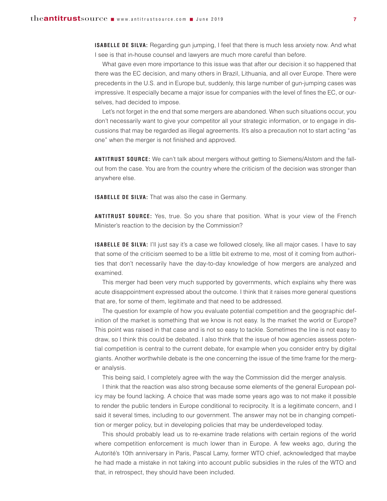**ISABELLE DE SILVA:** Regarding gun jumping, I feel that there is much less anxiety now. And what I see is that in-house counsel and lawyers are much more careful than before.

What gave even more importance to this issue was that after our decision it so happened that there was the EC decision, and many others in Brazil, Lithuania, and all over Europe. There were precedents in the U.S. and in Europe but, suddenly, this large number of gun-jumping cases was impressive. It especially became a major issue for companies with the level of fines the EC, or ourselves, had decided to impose.

Let's not forget in the end that some mergers are abandoned. When such situations occur, you don't necessarily want to give your competitor all your strategic information, or to engage in discussions that may be regarded as illegal agreements. It's also a precaution not to start acting "as one" when the merger is not finished and approved.

**ANTITRUST SOURCE:** We can't talk about mergers without getting to Siemens/Alstom and the fallout from the case. You are from the country where the criticism of the decision was stronger than anywhere else.

**ISABELLE DE SILVA:** That was also the case in Germany.

**ANTITRUST SOURCE:** Yes, true. So you share that position. What is your view of the French Minister's reaction to the decision by the Commission?

**ISABELLE DE SILVA:** I'll just say it's a case we followed closely, like all major cases. I have to say that some of the criticism seemed to be a little bit extreme to me, most of it coming from authorities that don't necessarily have the day-to-day knowledge of how mergers are analyzed and examined.

This merger had been very much supported by governments, which explains why there was acute disappointment expressed about the outcome. I think that it raises more general questions that are, for some of them, legitimate and that need to be addressed.

The question for example of how you evaluate potential competition and the geographic definition of the market is something that we know is not easy. Is the market the world or Europe? This point was raised in that case and is not so easy to tackle. Sometimes the line is not easy to draw, so I think this could be debated. I also think that the issue of how agencies assess potential competition is central to the current debate, for example when you consider entry by digital giants. Another worthwhile debate is the one concerning the issue of the time frame for the merger analysis.

This being said, I completely agree with the way the Commission did the merger analysis.

I think that the reaction was also strong because some elements of the general European policy may be found lacking. A choice that was made some years ago was to not make it possible to render the public tenders in Europe conditional to reciprocity. It is a legitimate concern, and I said it several times, including to our government. The answer may not be in changing competition or merger policy, but in developing policies that may be underdeveloped today.

This should probably lead us to re-examine trade relations with certain regions of the world where competition enforcement is much lower than in Europe. A few weeks ago, during the Autorité's 10th anniversary in Paris, Pascal Lamy, former WTO chief, acknowledged that maybe he had made a mistake in not taking into account public subsidies in the rules of the WTO and that, in retrospect, they should have been included.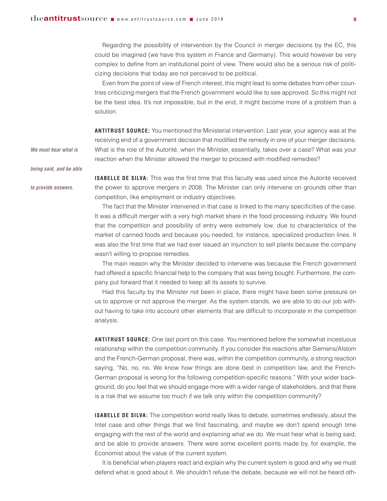Regarding the possibility of intervention by the Council in merger decisions by the EC, this could be imagined (we have this system in France and Germany). This would however be very complex to define from an institutional point of view. There would also be a serious risk of politicizing decisions that today are not perceived to be political.

Even from the point of view of French interest, this might lead to some debates from other countries criticizing mergers that the French government would like to see approved. So this might not be the best idea. It's not impossible, but in the end, it might become more of a problem than a solution.

**ANTITRUST SOURCE:** You mentioned the Ministerial intervention. Last year, your agency was at the receiving end of a government decision that modified the remedy in one of your merger decisions. What is the role of the Autorité, when the Minister, essentially, takes over a case? What was your reaction when the Minister allowed the merger to proceed with modified remedies?

*being said, and be able*

*We must hear what is*

*to provide answers.* 

**ISABELLE DE SILVA:** This was the first time that this faculty was used since the Autorité received the power to approve mergers in 2008. The Minister can only intervene on grounds other than competition, like employment or industry objectives.

The fact that the Minister intervened in that case is linked to the many specificities of the case. It was a difficult merger with a very high market share in the food processing industry. We found that the competition and possibility of entry were extremely low, due to characteristics of the market of canned foods and because you needed, for instance, specialized production lines. It was also the first time that we had ever issued an injunction to sell plants because the company wasn't willing to propose remedies.

The main reason why the Minister decided to intervene was because the French government had offered a specific financial help to the company that was being bought. Furthermore, the company put forward that it needed to keep all its assets to survive.

Had this faculty by the Minister not been in place, there might have been some pressure on us to approve or not approve the merger. As the system stands, we are able to do our job without having to take into account other elements that are difficult to incorporate in the competition analysis.

**ANTITRUST SOURCE:** One last point on this case. You mentioned before the somewhat incestuous relationship within the competition community. If you consider the reactions after Siemens/Alstom and the French-German proposal, there was, within the competition community, a strong reaction saying, "No, no, no. We know how things are done best in competition law, and the French-German proposal is wrong for the following competition-specific reasons." With your wider background, do you feel that we should engage more with a wider range of stakeholders, and that there is a risk that we assume too much if we talk only within the competition community?

**ISABELLE DE SILVA:** The competition world really likes to debate, sometimes endlessly, about the Intel case and other things that we find fascinating, and maybe we don't spend enough time engaging with the rest of the world and explaining what we do. We must hear what is being said, and be able to provide answers. There were some excellent points made by, for example, the Economist about the value of the current system.

It is beneficial when players react and explain why the current system is good and why we must defend what is good about it. We shouldn't refuse the debate, because we will not be heard oth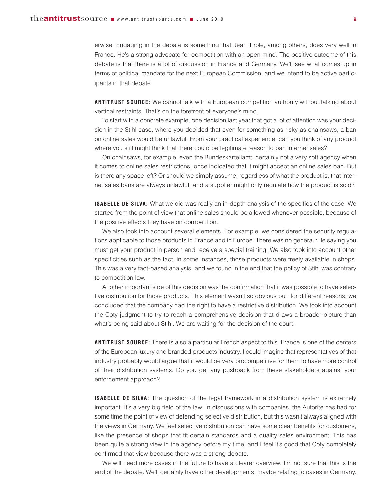erwise. Engaging in the debate is something that Jean Tirole, among others, does very well in France. He's a strong advocate for competition with an open mind. The positive outcome of this debate is that there is a lot of discussion in France and Germany. We'll see what comes up in terms of political mandate for the next European Commission, and we intend to be active participants in that debate.

**ANTITRUST SOURCE:** We cannot talk with a European competition authority without talking about vertical restraints. That's on the forefront of everyone's mind.

To start with a concrete example, one decision last year that got a lot of attention was your decision in the Stihl case, where you decided that even for something as risky as chainsaws, a ban on online sales would be unlawful. From your practical experience, can you think of any product where you still might think that there could be legitimate reason to ban internet sales?

On chainsaws, for example, even the Bundeskartellamt, certainly not a very soft agency when it comes to online sales restrictions, once indicated that it might accept an online sales ban. But is there any space left? Or should we simply assume, regardless of what the product is, that internet sales bans are always unlawful, and a supplier might only regulate how the product is sold?

**ISABELLE DE SILVA:** What we did was really an in-depth analysis of the specifics of the case. We started from the point of view that online sales should be allowed whenever possible, because of the positive effects they have on competition.

We also took into account several elements. For example, we considered the security regulations applicable to those products in France and in Europe. There was no general rule saying you must get your product in person and receive a special training. We also took into account other specificities such as the fact, in some instances, those products were freely available in shops. This was a very fact-based analysis, and we found in the end that the policy of Stihl was contrary to competition law.

Another important side of this decision was the confirmation that it was possible to have selective distribution for those products. This element wasn't so obvious but, for different reasons, we concluded that the company had the right to have a restrictive distribution. We took into account the Coty judgment to try to reach a comprehensive decision that draws a broader picture than what's being said about Stihl. We are waiting for the decision of the court.

**ANTITRUST SOURCE:** There is also a particular French aspect to this. France is one of the centers of the European luxury and branded products industry. I could imagine that representatives of that industry probably would argue that it would be very procompetitive for them to have more control of their distribution systems. Do you get any pushback from these stakeholders against your enforcement approach?

**ISABELLE DE SILVA:** The question of the legal framework in a distribution system is extremely important. It's a very big field of the law. In discussions with companies, the Autorité has had for some time the point of view of defending selective distribution, but this wasn't always aligned with the views in Germany. We feel selective distribution can have some clear benefits for customers, like the presence of shops that fit certain standards and a quality sales environment. This has been quite a strong view in the agency before my time, and I feel it's good that Coty completely confirmed that view because there was a strong debate.

We will need more cases in the future to have a clearer overview. I'm not sure that this is the end of the debate. We'll certainly have other developments, maybe relating to cases in Germany.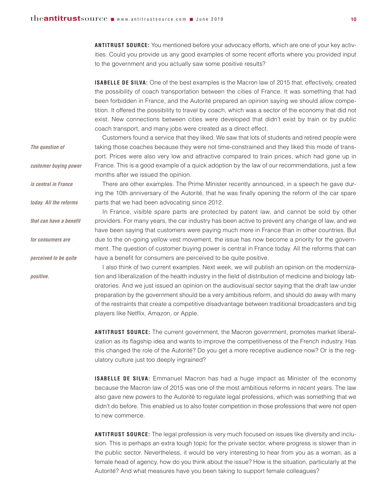**ANTITRUST SOURCE:** You mentioned before your advocacy efforts, which are one of your key activities. Could you provide us any good examples of some recent efforts where you provided input to the government and you actually saw some positive results?

**ISABELLE DE SILVA:** One of the best examples is the Macron law of 2015 that, effectively, created the possibility of coach transportation between the cities of France. It was something that had been forbidden in France, and the Autorité prepared an opinion saying we should allow competition. It offered the possibility to travel by coach, which was a sector of the economy that did not exist. New connections between cities were developed that didn't exist by train or by public coach transport, and many jobs were created as a direct effect.

|                         | Customers found a service that they liked. We saw that lots of students and retired people were          |
|-------------------------|----------------------------------------------------------------------------------------------------------|
| The question of         | taking those coaches because they were not time-constrained and they liked this mode of trans-           |
|                         | port. Prices were also very low and attractive compared to train prices, which had gone up in            |
| customer buying power   | France. This is a good example of a quick adoption by the law of our recommendations, just a few         |
|                         | months after we issued the opinion.                                                                      |
| is central in France    | There are other examples. The Prime Minister recently announced, in a speech he gave dur-                |
|                         | ing the 10th anniversary of the Autorité, that he was finally opening the reform of the car spare        |
| today. All the reforms  | parts that we had been advocating since 2012.                                                            |
|                         | In France, visible spare parts are protected by patent law, and cannot be sold by other                  |
| that can have a benefit | providers. For many years, the car industry has been active to prevent any change of law, and we         |
|                         | have been saying that customers were paying much more in France than in other countries. But             |
| for consumers are       | due to the on-going yellow vest movement, the issue has now become a priority for the govern-            |
|                         | ment. The question of customer buying power is central in France today. All the reforms that can         |
| perceived to be quite   | have a benefit for consumers are perceived to be quite positive.                                         |
|                         | I also think of two current examples. Next week, we will publish an opinion on the moderniza-            |
| positive.               | tion and liberalization of the health industry in the field of distribution of medicine and biology lab- |
|                         | oratories. And we just issued an opinion on the audiovisual sector saying that the draft law under       |
|                         | preparation by the government should be a very ambitious reform, and should do away with many            |
|                         | of the restraints that create a competitive disadvantage between traditional broadcasters and big        |

players like Netflix, Amazon, or Apple.

**ANTITRUST SOURCE:** The current government, the Macron government, promotes market liberalization as its flagship idea and wants to improve the competitiveness of the French industry. Has this changed the role of the Autorité? Do you get a more receptive audience now? Or is the regulatory culture just too deeply ingrained?

**ISABELLE DE SILVA:** Emmanuel Macron has had a huge impact as Minister of the economy because the Macron law of 2015 was one of the most ambitious reforms in recent years. The law also gave new powers to the Autorité to regulate legal professions, which was something that we didn't do before. This enabled us to also foster competition in those professions that were not open to new commerce.

**ANTITRUST SOURCE:** The legal profession is very much focused on issues like diversity and inclusion. This is perhaps an extra tough topic for the private sector, where progress is slower than in the public sector. Nevertheless, it would be very interesting to hear from you as a woman, as a female head of agency, how do you think about the issue? How is the situation, particularly at the Autorité? And what measures have you been taking to support female colleagues?